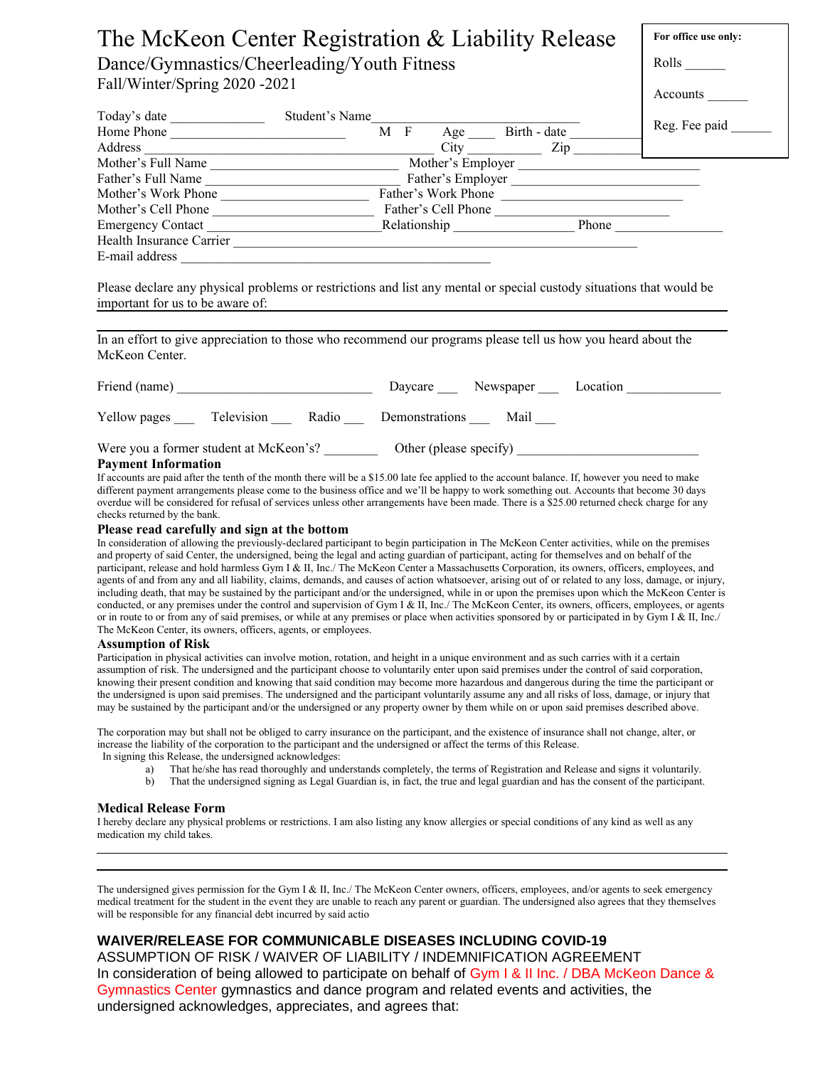# The McKeon Center Registration & Liability Release

Dance/Gymnastics/Cheerleading/Youth Fitness Fall/Winter/Spring 2020 -2021

**For office use only:**

Rolls \_\_\_\_\_\_

ccounts

| Today's date             | Student's Name             |               |
|--------------------------|----------------------------|---------------|
| Home Phone               | Birth - date<br>M F<br>Age | Reg. Fee paid |
| Address                  | City<br>Zip                |               |
| Mother's Full Name       | Mother's Employer          |               |
| Father's Full Name       | Father's Employer          |               |
| Mother's Work Phone      | Father's Work Phone        |               |
| Mother's Cell Phone      | Father's Cell Phone        |               |
| <b>Emergency Contact</b> | Relationship<br>Phone      |               |
| Health Insurance Carrier |                            |               |
| E-mail address           |                            |               |

Please declare any physical problems or restrictions and list any mental or special custody situations that would be important for us to be aware of:

In an effort to give appreciation to those who recommend our programs please tell us how you heard about the McKeon Center.

| Friend (name)                          |                   |       | Daycare                | Newspaper | Location |
|----------------------------------------|-------------------|-------|------------------------|-----------|----------|
| Yellow pages                           | <b>Television</b> | Radio | Demonstrations         | Mail      |          |
| Were you a former student at McKeon's? |                   |       | Other (please specify) |           |          |

## **Payment Information**

If accounts are paid after the tenth of the month there will be a \$15.00 late fee applied to the account balance. If, however you need to make different payment arrangements please come to the business office and we'll be happy to work something out. Accounts that become 30 days overdue will be considered for refusal of services unless other arrangements have been made. There is a \$25.00 returned check charge for any checks returned by the bank.

## **Please read carefully and sign at the bottom**

In consideration of allowing the previously-declared participant to begin participation in The McKeon Center activities, while on the premises and property of said Center, the undersigned, being the legal and acting guardian of participant, acting for themselves and on behalf of the participant, release and hold harmless Gym I & II, Inc./ The McKeon Center a Massachusetts Corporation, its owners, officers, employees, and agents of and from any and all liability, claims, demands, and causes of action whatsoever, arising out of or related to any loss, damage, or injury, including death, that may be sustained by the participant and/or the undersigned, while in or upon the premises upon which the McKeon Center is conducted, or any premises under the control and supervision of Gym I & II, Inc./ The McKeon Center, its owners, officers, employees, or agents or in route to or from any of said premises, or while at any premises or place when activities sponsored by or participated in by Gym I & II, Inc./ The McKeon Center, its owners, officers, agents, or employees.

#### **Assumption of Risk**

Participation in physical activities can involve motion, rotation, and height in a unique environment and as such carries with it a certain assumption of risk. The undersigned and the participant choose to voluntarily enter upon said premises under the control of said corporation, knowing their present condition and knowing that said condition may become more hazardous and dangerous during the time the participant or the undersigned is upon said premises. The undersigned and the participant voluntarily assume any and all risks of loss, damage, or injury that may be sustained by the participant and/or the undersigned or any property owner by them while on or upon said premises described above.

The corporation may but shall not be obliged to carry insurance on the participant, and the existence of insurance shall not change, alter, or increase the liability of the corporation to the participant and the undersigned or affect the terms of this Release.

In signing this Release, the undersigned acknowledges:

- a) That he/she has read thoroughly and understands completely, the terms of Registration and Release and signs it voluntarily.
- b) That the undersigned signing as Legal Guardian is, in fact, the true and legal guardian and has the consent of the participant.

## **Medical Release Form**

I hereby declare any physical problems or restrictions. I am also listing any know allergies or special conditions of any kind as well as any medication my child takes.

The undersigned gives permission for the Gym I & II, Inc./ The McKeon Center owners, officers, employees, and/or agents to seek emergency medical treatment for the student in the event they are unable to reach any parent or guardian. The undersigned also agrees that they themselves will be responsible for any financial debt incurred by said actio

# **WAIVER/RELEASE FOR COMMUNICABLE DISEASES INCLUDING COVID-19**

ASSUMPTION OF RISK / WAIVER OF LIABILITY / INDEMNIFICATION AGREEMENT In consideration of being allowed to participate on behalf of Gym I & II Inc. / DBA McKeon Dance & Gymnastics Center gymnastics and dance program and related events and activities, the undersigned acknowledges, appreciates, and agrees that: